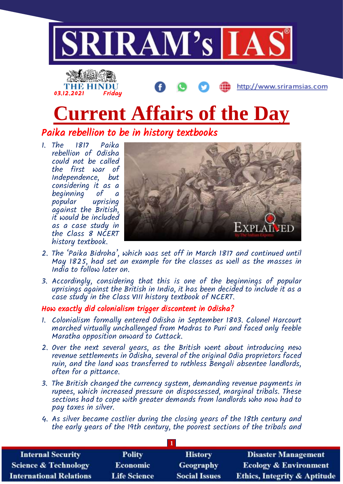



# **Current Affairs of the Day**

Paika rebellion to be in history textbooks

1. The 1817 Paika rebellion of Odisha could not be called the first war of Independence, but considering it as a beginning of a popular uprising against the British, it would be included as a case study in the Class 8 NCERT history textbook.



http://www.sriramsias.com

- 2. The 'Paika Bidroha', which was set off in March 1817 and continued until May 1825, had set an example for the classes as well as the masses in India to follow later on.
- 3. Accordingly, considering that this is one of the beginnings of popular uprisings against the British in India, it has been decided to include it as a case study in the Class VIII history textbook of NCERT.

## How exactly did colonialism trigger discontent in Odisha?

- 1. Colonialism formally entered Odisha in September 1803. Colonel Harcourt marched virtually unchallenged from Madras to Puri and faced only feeble Maratha opposition onward to Cuttack.
- 2. Over the next several years, as the British went about introducing new revenue settlements in Odisha, several of the original Odia proprietors faced ruin, and the land was transferred to ruthless Bengali absentee landlords, often for a pittance.
- 3. The British changed the currency system, demanding revenue payments in rupees, which increased pressure on dispossessed, marginal tribals. These sections had to cope with greater demands from landlords who now had to pay taxes in silver.
- 4. As silver became costlier during the closing years of the 18th century and the early years of the 19th century, the poorest sections of the tribals and

| <b>Internal Security</b>        | <b>Polity</b>       | <b>History</b>       | <b>Disaster Management</b>              |  |  |
|---------------------------------|---------------------|----------------------|-----------------------------------------|--|--|
| <b>Science &amp; Technology</b> | <b>Economic</b>     | <b>Geography</b>     | <b>Ecology &amp; Environment</b>        |  |  |
| <b>International Relations</b>  | <b>Life Science</b> | <b>Social Issues</b> | <b>Ethics, Integrity &amp; Aptitude</b> |  |  |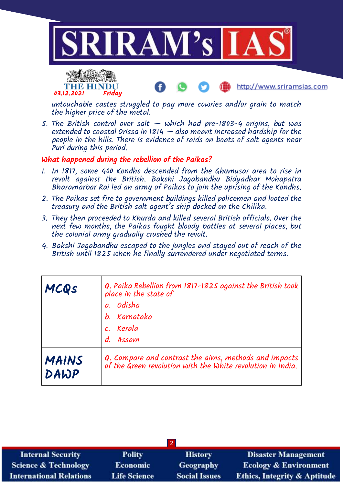



untouchable castes struggled to pay more cowries and/or grain to match the higher price of the metal.

http://www.sriramsias.com

5. The British control over salt  $-$  which had pre-1803-4 origins, but was extended to coastal Orissa in 1814  $-$  also meant increased hardship for the people in the hills. There is evidence of raids on boats of salt agents near Puri during this period.

## What happened during the rebellion of the Paikas?

- 1. In 1817, some 400 Kondhs descended from the Ghumusar area to rise in revolt against the British. Bakshi Jagabandhu Bidyadhar Mohapatra Bharamarbar Rai led an army of Paikas to join the uprising of the Kondhs.
- 2. The Paikas set fire to government buildings killed policemen and looted the treasury and the British salt agent's ship docked on the Chilika.
- 3. They then proceeded to Khurda and killed several British officials. Over the next few months, the Paikas fought bloody battles at several places, but the colonial army gradually crushed the revolt.
- 4. Bakshi Jagabandhu escaped to the jungles and stayed out of reach of the British until 1825 when he finally surrendered under negotiated terms.

| MCQS                 | Q. Paika Rebellion from 1817-1825 against the British took<br>place in the state of<br>a. Odisha<br>b. Karnataka<br>c. Kerala<br>d. Assam |
|----------------------|-------------------------------------------------------------------------------------------------------------------------------------------|
| <b>MAINS</b><br>DAWP | Q. Compare and contrast the aims, methods and impacts<br>of the Green revolution with the White revolution in India.                      |

| $\vert 2 \vert$                 |                     |                      |                                         |  |  |
|---------------------------------|---------------------|----------------------|-----------------------------------------|--|--|
| <b>Internal Security</b>        | <b>Polity</b>       | <b>History</b>       | <b>Disaster Management</b>              |  |  |
| <b>Science &amp; Technology</b> | <b>Economic</b>     | Geography            | <b>Ecology &amp; Environment</b>        |  |  |
| <b>International Relations</b>  | <b>Life Science</b> | <b>Social Issues</b> | <b>Ethics, Integrity &amp; Aptitude</b> |  |  |